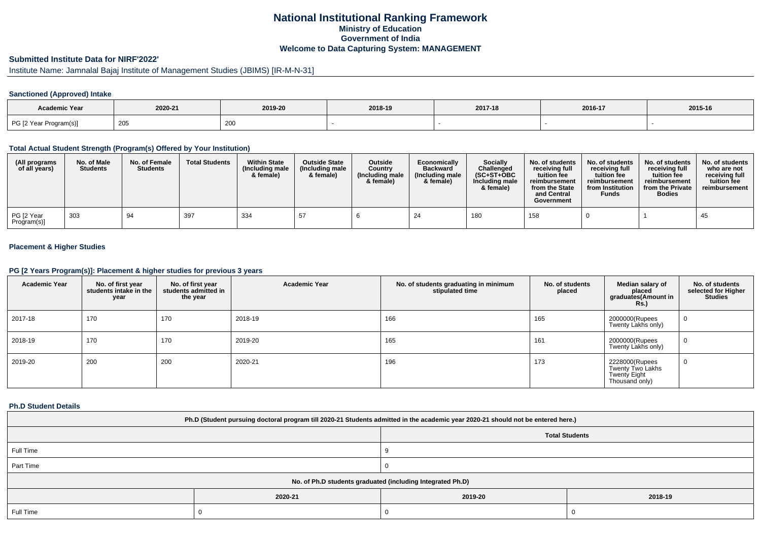# **National Institutional Ranking FrameworkMinistry of Education Government of IndiaWelcome to Data Capturing System: MANAGEMENT**

# **Submitted Institute Data for NIRF'2022'**

# Institute Name: Jamnalal Bajaj Institute of Management Studies (JBIMS) [IR-M-N-31]

## **Sanctioned (Approved) Intake**

| Academic Year          |         |               |         |         |         |         |
|------------------------|---------|---------------|---------|---------|---------|---------|
|                        | 2020-21 | 2019-20       | 2018-19 | 2017-18 | 2016-17 | 2015-16 |
| PG [2 Year Program(s)] | - 205   | $\sim$<br>ZUU |         |         |         |         |

#### **Total Actual Student Strength (Program(s) Offered by Your Institution)**

| (All programs<br>of all years) | No. of Male<br><b>Students</b> | No. of Female<br><b>Students</b> | <b>Total Students</b> | <b>Within State</b><br>(Including male<br>& female) | <b>Outside State</b><br>(Including male<br>& female) | Outside<br>Country<br>(Including male<br>& female) | Economically<br><b>Backward</b><br>(Including male<br>& female) | <b>Socially</b><br>Challenged<br>$(SC+ST+OBC$<br>Including male<br>& female) | No. of students<br>receivina full<br>tuition fee<br>reimbursement<br>from the State<br>and Central<br>Government | No. of students<br>receiving full<br>tuition fee<br>reimbursement<br>from Institution<br><b>Funds</b> | No. of students<br>receiving full<br>tuition fee<br>reimbursement<br>from the Private<br><b>Bodies</b> | No. of students  <br>who are not<br>receivina full<br>tuition fee<br>reimbursement |
|--------------------------------|--------------------------------|----------------------------------|-----------------------|-----------------------------------------------------|------------------------------------------------------|----------------------------------------------------|-----------------------------------------------------------------|------------------------------------------------------------------------------|------------------------------------------------------------------------------------------------------------------|-------------------------------------------------------------------------------------------------------|--------------------------------------------------------------------------------------------------------|------------------------------------------------------------------------------------|
| PG [2 Year<br>Program(s)]      | 303                            | 94                               | 397                   | 334                                                 | 57                                                   |                                                    |                                                                 | 180                                                                          | 158                                                                                                              |                                                                                                       |                                                                                                        | -45                                                                                |

## **Placement & Higher Studies**

#### **PG [2 Years Program(s)]: Placement & higher studies for previous 3 years**

| <b>Academic Year</b> | No. of first year<br>students intake in the<br>year | No. of first vear<br>students admitted in<br>the year | <b>Academic Year</b> | No. of students graduating in minimum<br>stipulated time | No. of students<br>placed | Median salary of<br>placed<br>graduates(Amount in<br><b>Rs.)</b>     | No. of students<br>selected for Higher<br><b>Studies</b> |
|----------------------|-----------------------------------------------------|-------------------------------------------------------|----------------------|----------------------------------------------------------|---------------------------|----------------------------------------------------------------------|----------------------------------------------------------|
| 2017-18              | 170                                                 | 170                                                   | 2018-19              | 166                                                      | 165                       | 2000000(Rupees<br>Twenty Lakhs only)                                 | 0                                                        |
| 2018-19              | 170                                                 | 170                                                   | 2019-20              | 165                                                      | 161                       | 2000000(Rupees<br>Twenty Lakhs only)                                 | $\mathbf{0}$                                             |
| 2019-20              | 200                                                 | 200                                                   | 2020-21              | 196                                                      | 173                       | 2228000(Rupees<br>Twenty Two Lakhs<br>Twenty Eight<br>Thousand only) | $\mathbf 0$                                              |

#### **Ph.D Student Details**

| Ph.D (Student pursuing doctoral program till 2020-21 Students admitted in the academic year 2020-21 should not be entered here.) |                               |                       |  |  |  |  |  |
|----------------------------------------------------------------------------------------------------------------------------------|-------------------------------|-----------------------|--|--|--|--|--|
|                                                                                                                                  |                               | <b>Total Students</b> |  |  |  |  |  |
| Full Time                                                                                                                        |                               |                       |  |  |  |  |  |
| Part Time                                                                                                                        |                               |                       |  |  |  |  |  |
| No. of Ph.D students graduated (including Integrated Ph.D)                                                                       |                               |                       |  |  |  |  |  |
|                                                                                                                                  | 2020-21<br>2018-19<br>2019-20 |                       |  |  |  |  |  |
| Full Time                                                                                                                        |                               |                       |  |  |  |  |  |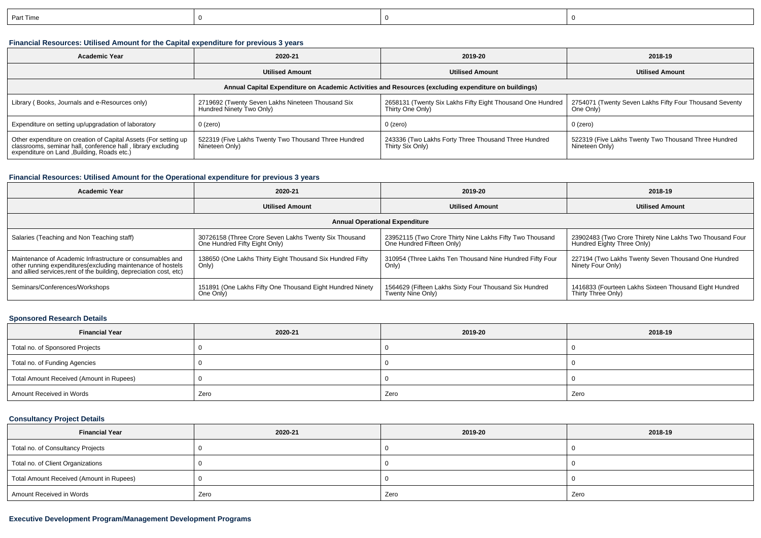| Part Time |  |  |
|-----------|--|--|
|           |  |  |

## **Financial Resources: Utilised Amount for the Capital expenditure for previous 3 years**

| <b>Academic Year</b>                                                                                                                                                           | 2020-21                                                                                                                                                         | 2019-20                                                                  | 2018-19                                                                |  |  |  |  |  |
|--------------------------------------------------------------------------------------------------------------------------------------------------------------------------------|-----------------------------------------------------------------------------------------------------------------------------------------------------------------|--------------------------------------------------------------------------|------------------------------------------------------------------------|--|--|--|--|--|
|                                                                                                                                                                                | <b>Utilised Amount</b>                                                                                                                                          | <b>Utilised Amount</b>                                                   |                                                                        |  |  |  |  |  |
| Annual Capital Expenditure on Academic Activities and Resources (excluding expenditure on buildings)                                                                           |                                                                                                                                                                 |                                                                          |                                                                        |  |  |  |  |  |
| Library (Books, Journals and e-Resources only)                                                                                                                                 | 2719692 (Twenty Seven Lakhs Nineteen Thousand Six<br>2658131 (Twenty Six Lakhs Fifty Eight Thousand One Hundred<br>Hundred Ninety Two Only)<br>Thirty One Only) |                                                                          | 2754071 (Twenty Seven Lakhs Fifty Four Thousand Seventy<br>One Only)   |  |  |  |  |  |
| Expenditure on setting up/upgradation of laboratory                                                                                                                            | $0$ (zero)                                                                                                                                                      | $0$ (zero)                                                               | 0 (zero)                                                               |  |  |  |  |  |
| Other expenditure on creation of Capital Assets (For setting up<br>classrooms, seminar hall, conference hall, library excluding<br>expenditure on Land , Building, Roads etc.) | 522319 (Five Lakhs Twenty Two Thousand Three Hundred<br>Nineteen Only)                                                                                          | 243336 (Two Lakhs Forty Three Thousand Three Hundred<br>Thirty Six Only) | 522319 (Five Lakhs Twenty Two Thousand Three Hundred<br>Nineteen Only) |  |  |  |  |  |

## **Financial Resources: Utilised Amount for the Operational expenditure for previous 3 years**

| <b>Academic Year</b>                                                                                                                                                                            | 2020-21                                                                                | 2019-20                                                                               | 2018-19                                                                                |  |  |  |  |  |
|-------------------------------------------------------------------------------------------------------------------------------------------------------------------------------------------------|----------------------------------------------------------------------------------------|---------------------------------------------------------------------------------------|----------------------------------------------------------------------------------------|--|--|--|--|--|
|                                                                                                                                                                                                 | <b>Utilised Amount</b>                                                                 | <b>Utilised Amount</b>                                                                | <b>Utilised Amount</b>                                                                 |  |  |  |  |  |
| <b>Annual Operational Expenditure</b>                                                                                                                                                           |                                                                                        |                                                                                       |                                                                                        |  |  |  |  |  |
| Salaries (Teaching and Non Teaching staff)                                                                                                                                                      | 30726158 (Three Crore Seven Lakhs Twenty Six Thousand<br>One Hundred Fifty Eight Only) | 23952115 (Two Crore Thirty Nine Lakhs Fifty Two Thousand<br>One Hundred Fifteen Only) | 23902483 (Two Crore Thirety Nine Lakhs Two Thousand Four<br>Hundred Eighty Three Only) |  |  |  |  |  |
| Maintenance of Academic Infrastructure or consumables and<br>other running expenditures (excluding maintenance of hostels<br>and allied services, rent of the building, depreciation cost, etc) | 138650 (One Lakhs Thirty Eight Thousand Six Hundred Fifty<br>Only)                     | 310954 (Three Lakhs Ten Thousand Nine Hundred Fifty Four<br>Only)                     | 227194 (Two Lakhs Twenty Seven Thousand One Hundred<br>Ninety Four Only)               |  |  |  |  |  |
| Seminars/Conferences/Workshops                                                                                                                                                                  | 151891 (One Lakhs Fifty One Thousand Eight Hundred Ninety<br>One Only)                 | 1564629 (Fifteen Lakhs Sixty Four Thousand Six Hundred<br>Twenty Nine Only)           | 1416833 (Fourteen Lakhs Sixteen Thousand Eight Hundred<br>Thirty Three Only)           |  |  |  |  |  |

## **Sponsored Research Details**

| <b>Financial Year</b>                    | 2020-21 | 2019-20 | 2018-19 |
|------------------------------------------|---------|---------|---------|
| Total no. of Sponsored Projects          |         |         |         |
| Total no. of Funding Agencies            |         |         |         |
| Total Amount Received (Amount in Rupees) |         |         |         |
| Amount Received in Words                 | Zero    | Zero    | Zero    |

## **Consultancy Project Details**

| <b>Financial Year</b>                    | 2020-21 | 2019-20 | 2018-19 |
|------------------------------------------|---------|---------|---------|
| Total no. of Consultancy Projects        |         |         |         |
| Total no. of Client Organizations        |         |         |         |
| Total Amount Received (Amount in Rupees) |         |         |         |
| Amount Received in Words                 | Zero    | Zero    | Zero    |

## **Executive Development Program/Management Development Programs**